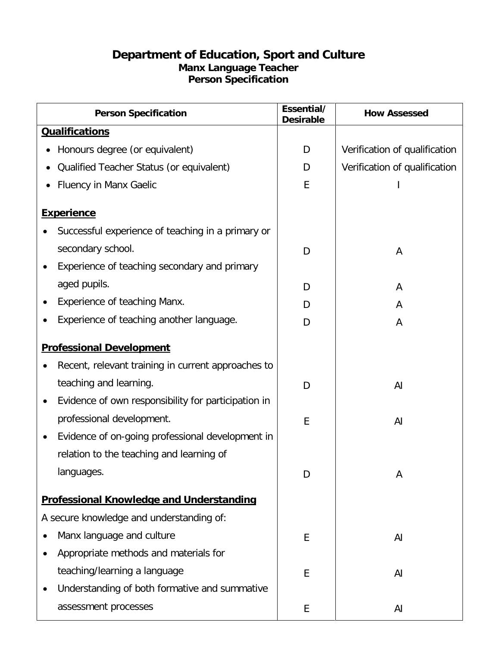## **Department of Education, Sport and Culture Manx Language Teacher Person Specification**

| <b>Person Specification</b>                         | Essential/<br><b>Desirable</b> | <b>How Assessed</b>           |
|-----------------------------------------------------|--------------------------------|-------------------------------|
| <b>Qualifications</b>                               |                                |                               |
| Honours degree (or equivalent)                      | D                              | Verification of qualification |
| Qualified Teacher Status (or equivalent)            | D                              | Verification of qualification |
| <b>Fluency in Manx Gaelic</b>                       | E                              |                               |
| <b>Experience</b>                                   |                                |                               |
| Successful experience of teaching in a primary or   |                                |                               |
| secondary school.                                   | D                              | A                             |
| Experience of teaching secondary and primary        |                                |                               |
| aged pupils.                                        | D                              | A                             |
| Experience of teaching Manx.                        | D                              | A                             |
| Experience of teaching another language.            | D                              | A                             |
| <b>Professional Development</b>                     |                                |                               |
| Recent, relevant training in current approaches to  |                                |                               |
| teaching and learning.                              | D                              | AI                            |
| Evidence of own responsibility for participation in |                                |                               |
| professional development.                           | E                              | AI                            |
| Evidence of on-going professional development in    |                                |                               |
| relation to the teaching and learning of            |                                |                               |
| languages.                                          | D                              | A                             |
| <b>Professional Knowledge and Understanding</b>     |                                |                               |
| A secure knowledge and understanding of:            |                                |                               |
| Manx language and culture<br>٠                      | E                              | AI                            |
| Appropriate methods and materials for               |                                |                               |
| teaching/learning a language                        | E                              | AI                            |
| Understanding of both formative and summative       |                                |                               |
| assessment processes                                | E                              | AI                            |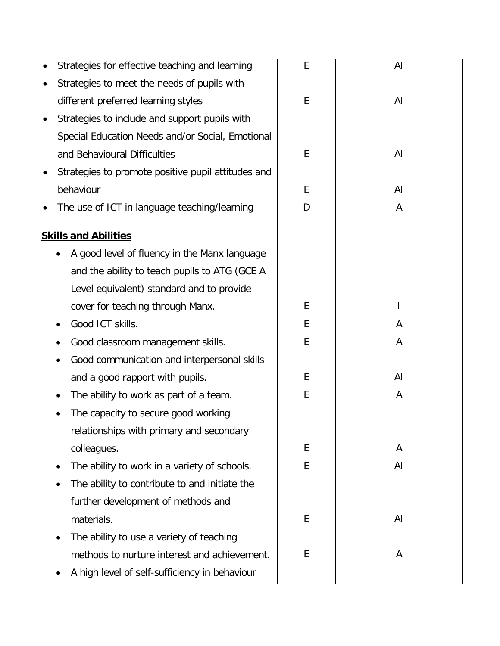| Strategies for effective teaching and learning     | E | AI |
|----------------------------------------------------|---|----|
| Strategies to meet the needs of pupils with        |   |    |
| different preferred learning styles                | E | AI |
| Strategies to include and support pupils with      |   |    |
| Special Education Needs and/or Social, Emotional   |   |    |
| and Behavioural Difficulties                       | E | AI |
| Strategies to promote positive pupil attitudes and |   |    |
| behaviour                                          | E | AI |
| The use of ICT in language teaching/learning       | D | A  |
| <b>Skills and Abilities</b>                        |   |    |
| A good level of fluency in the Manx language       |   |    |
| and the ability to teach pupils to ATG (GCE A      |   |    |
| Level equivalent) standard and to provide          |   |    |
| cover for teaching through Manx.                   | E |    |
| Good ICT skills.                                   | E | A  |
| Good classroom management skills.                  | E | A  |
| Good communication and interpersonal skills        |   |    |
| and a good rapport with pupils.                    | E | AI |
| The ability to work as part of a team.             | E | A  |
| The capacity to secure good working                |   |    |
| relationships with primary and secondary           |   |    |
| colleagues.                                        | E | A  |
| The ability to work in a variety of schools.       | E | AI |
| The ability to contribute to and initiate the      |   |    |
| further development of methods and                 |   |    |
| materials.                                         | E | AI |
| The ability to use a variety of teaching           |   |    |
| methods to nurture interest and achievement.       | E | A  |
| A high level of self-sufficiency in behaviour      |   |    |